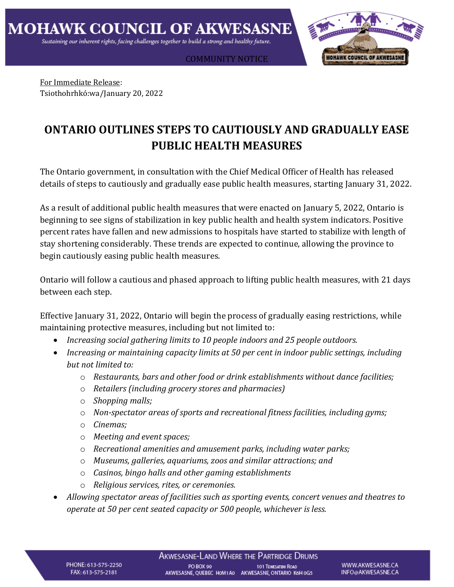COMMUNITY NOTICE



For Immediate Release: Tsiothohrhkó:wa/January 20, 2022

## **ONTARIO OUTLINES STEPS TO CAUTIOUSLY AND GRADUALLY EASE PUBLIC HEALTH MEASURES**

The Ontario government, in consultation with the Chief Medical Officer of Health has released details of steps to cautiously and gradually ease public health measures, starting January 31, 2022.

As a result of additional public health measures that were enacted on January 5, 2022, Ontario is beginning to see signs of stabilization in key public health and health system indicators. Positive percent rates have fallen and new admissions to hospitals have started to stabilize with length of stay shortening considerably. These trends are expected to continue, allowing the province to begin cautiously easing public health measures.

Ontario will follow a cautious and phased approach to lifting public health measures, with 21 days between each step.

Effective January 31, 2022, Ontario will begin the process of gradually easing restrictions, while maintaining protective measures, including but not limited to:

- *Increasing social gathering limits to 10 people indoors and 25 people outdoors.*
- *Increasing or maintaining capacity limits at 50 per cent in indoor public settings, including but not limited to:*
	- o *Restaurants, bars and other food or drink establishments without dance facilities;*
	- o *Retailers (including grocery stores and pharmacies)*
	- o *Shopping malls;*
	- o *Non-spectator areas of sports and recreational fitness facilities, including gyms;*
	- o *Cinemas;*
	- o *Meeting and event spaces;*
	- o *Recreational amenities and amusement parks, including water parks;*
	- o *Museums, galleries, aquariums, zoos and similar attractions; and*
	- o *Casinos, bingo halls and other gaming establishments*
	- o *Religious services, rites, or ceremonies.*
- *Allowing spectator areas of facilities such as sporting events, concert venues and theatres to operate at 50 per cent seated capacity or 500 people, whichever is less.*

PHONE: 613-575-2250 FAX: 613-575-2181